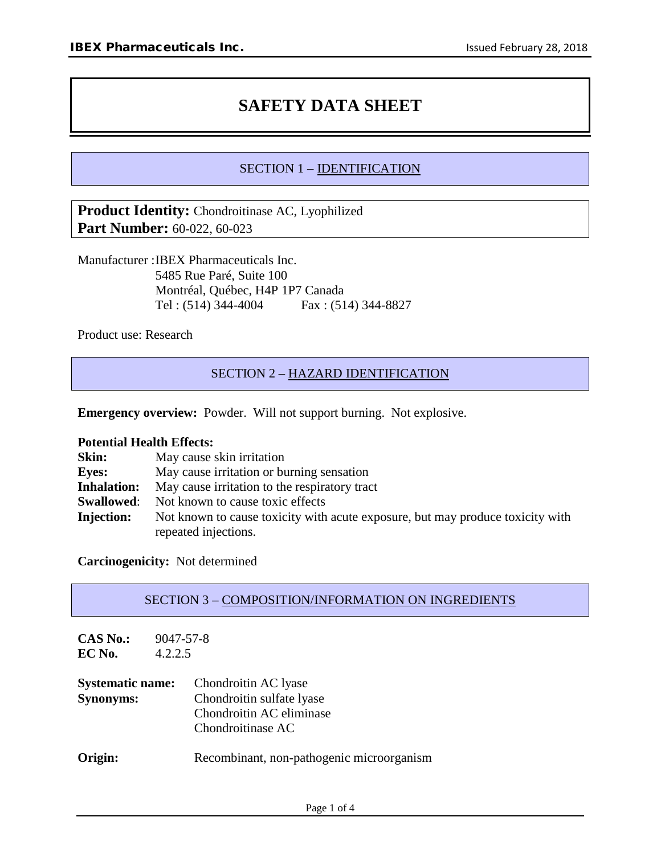# **SAFETY DATA SHEET**

# SECTION 1 – IDENTIFICATION

**Product Identity:** Chondroitinase AC, Lyophilized **Part Number:** 60-022, 60-023

Manufacturer :IBEX Pharmaceuticals Inc. 5485 Rue Paré, Suite 100 Montréal, Québec, H4P 1P7 Canada Tel : (514) 344-4004 Fax : (514) 344-8827

Product use: Research

# SECTION 2 – HAZARD IDENTIFICATION

**Emergency overview:** Powder. Will not support burning. Not explosive.

#### **Potential Health Effects:**

| Skin:              | May cause skin irritation                                                      |
|--------------------|--------------------------------------------------------------------------------|
| <b>Eves:</b>       | May cause irritation or burning sensation                                      |
| <b>Inhalation:</b> | May cause irritation to the respiratory tract                                  |
| <b>Swallowed:</b>  | Not known to cause toxic effects                                               |
| <b>Injection:</b>  | Not known to cause toxicity with acute exposure, but may produce toxicity with |
|                    | repeated injections.                                                           |

**Carcinogenicity:** Not determined

#### SECTION 3 – COMPOSITION/INFORMATION ON INGREDIENTS

| <b>CAS No.:</b><br>EC No.                   | 9047-57-8<br>4.2.2.5 |                                                                                                    |  |
|---------------------------------------------|----------------------|----------------------------------------------------------------------------------------------------|--|
| <b>Systematic name:</b><br><b>Synonyms:</b> |                      | Chondroitin AC lyase<br>Chondroitin sulfate lyase<br>Chondroitin AC eliminase<br>Chondroitinase AC |  |
| Origin:                                     |                      | Recombinant, non-pathogenic microorganism                                                          |  |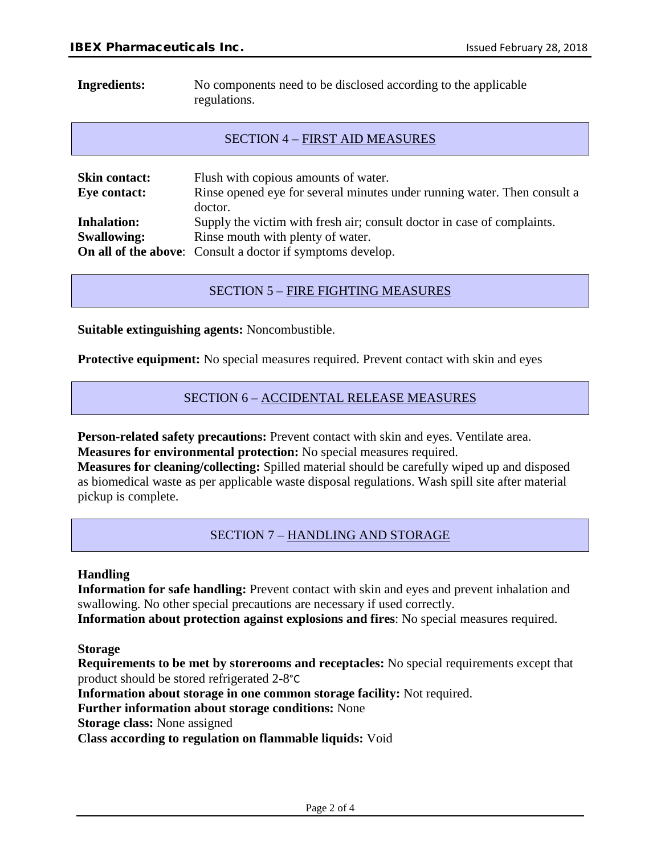**Ingredients:** No components need to be disclosed according to the applicable regulations.

#### SECTION 4 – FIRST AID MEASURES

| <b>Skin contact:</b><br>Eye contact: | Flush with copious amounts of water.<br>Rinse opened eye for several minutes under running water. Then consult a<br>doctor. |
|--------------------------------------|-----------------------------------------------------------------------------------------------------------------------------|
| <b>Inhalation:</b>                   | Supply the victim with fresh air; consult doctor in case of complaints.                                                     |
| <b>Swallowing:</b>                   | Rinse mouth with plenty of water.                                                                                           |
|                                      | <b>On all of the above:</b> Consult a doctor if symptoms develop.                                                           |

# SECTION 5 – FIRE FIGHTING MEASURES

**Suitable extinguishing agents:** Noncombustible.

**Protective equipment:** No special measures required. Prevent contact with skin and eyes

# SECTION 6 – ACCIDENTAL RELEASE MEASURES

**Person-related safety precautions:** Prevent contact with skin and eyes. Ventilate area. **Measures for environmental protection:** No special measures required.

**Measures for cleaning/collecting:** Spilled material should be carefully wiped up and disposed as biomedical waste as per applicable waste disposal regulations. Wash spill site after material pickup is complete.

SECTION 7 – HANDLING AND STORAGE

#### **Handling**

**Information for safe handling:** Prevent contact with skin and eyes and prevent inhalation and swallowing. No other special precautions are necessary if used correctly.

**Information about protection against explosions and fires**: No special measures required.

**Storage**

**Requirements to be met by storerooms and receptacles:** No special requirements except that product should be stored refrigerated 2-8°C

**Information about storage in one common storage facility:** Not required.

**Further information about storage conditions:** None

**Storage class:** None assigned

**Class according to regulation on flammable liquids:** Void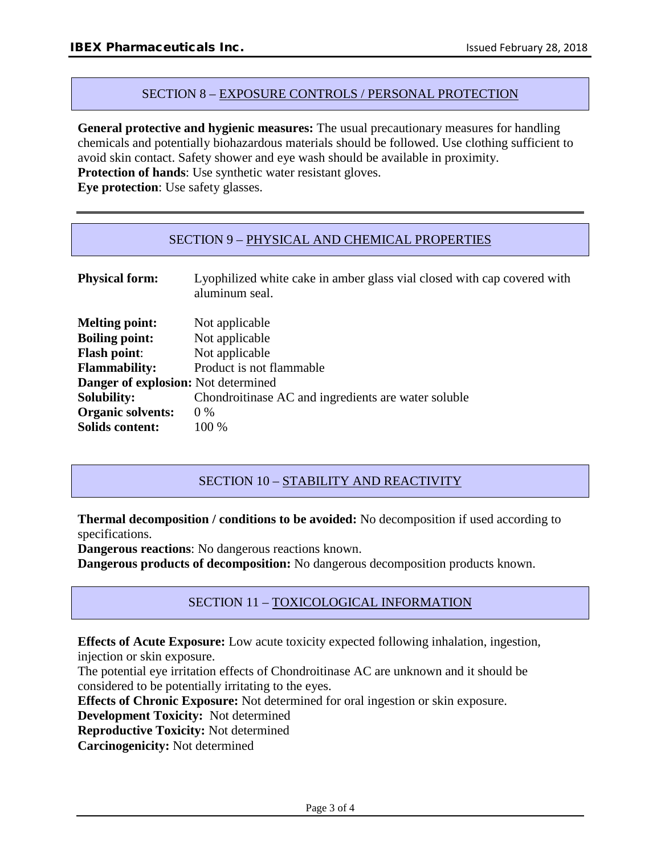#### SECTION 8 – EXPOSURE CONTROLS / PERSONAL PROTECTION

**General protective and hygienic measures:** The usual precautionary measures for handling chemicals and potentially biohazardous materials should be followed. Use clothing sufficient to avoid skin contact. Safety shower and eye wash should be available in proximity.

**Protection of hands**: Use synthetic water resistant gloves.

**Eye protection**: Use safety glasses.

#### SECTION 9 – PHYSICAL AND CHEMICAL PROPERTIES

| <b>Physical form:</b>                      | Lyophilized white cake in amber glass vial closed with cap covered with<br>aluminum seal. |
|--------------------------------------------|-------------------------------------------------------------------------------------------|
| <b>Melting point:</b>                      | Not applicable                                                                            |
| <b>Boiling point:</b>                      | Not applicable                                                                            |
| <b>Flash point:</b>                        | Not applicable                                                                            |
| <b>Flammability:</b>                       | Product is not flammable                                                                  |
| <b>Danger of explosion:</b> Not determined |                                                                                           |
| <b>Solubility:</b>                         | Chondroitinase AC and ingredients are water soluble                                       |
| <b>Organic solvents:</b>                   | $0\%$                                                                                     |
| <b>Solids content:</b>                     | 100 %                                                                                     |

# SECTION 10 - STABILITY AND REACTIVITY

**Thermal decomposition / conditions to be avoided:** No decomposition if used according to specifications.

**Dangerous reactions**: No dangerous reactions known.

**Dangerous products of decomposition:** No dangerous decomposition products known.

# SECTION 11 – TOXICOLOGICAL INFORMATION

**Effects of Acute Exposure:** Low acute toxicity expected following inhalation, ingestion, injection or skin exposure.

The potential eye irritation effects of Chondroitinase AC are unknown and it should be considered to be potentially irritating to the eyes.

**Effects of Chronic Exposure:** Not determined for oral ingestion or skin exposure.

**Development Toxicity:** Not determined

**Reproductive Toxicity:** Not determined

**Carcinogenicity:** Not determined